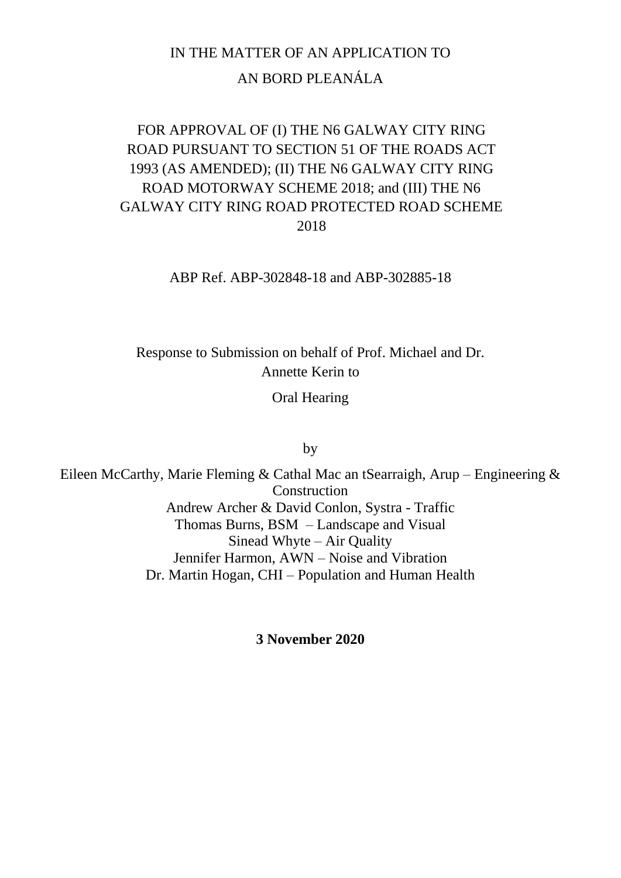## IN THE MATTER OF AN APPLICATION TO AN BORD PLEANÁLA

### FOR APPROVAL OF (I) THE N6 GALWAY CITY RING ROAD PURSUANT TO SECTION 51 OF THE ROADS ACT 1993 (AS AMENDED); (II) THE N6 GALWAY CITY RING ROAD MOTORWAY SCHEME 2018; and (III) THE N6 GALWAY CITY RING ROAD PROTECTED ROAD SCHEME 2018

ABP Ref. ABP-302848-18 and ABP-302885-18

Response to Submission on behalf of Prof. Michael and Dr. Annette Kerin to

Oral Hearing

by

Eileen McCarthy, Marie Fleming & Cathal Mac an tSearraigh, Arup – Engineering & Construction Andrew Archer & David Conlon, Systra - Traffic Thomas Burns, BSM – Landscape and Visual Sinead Whyte – Air Quality Jennifer Harmon, AWN – Noise and Vibration Dr. Martin Hogan, CHI – Population and Human Health

**3 November 2020**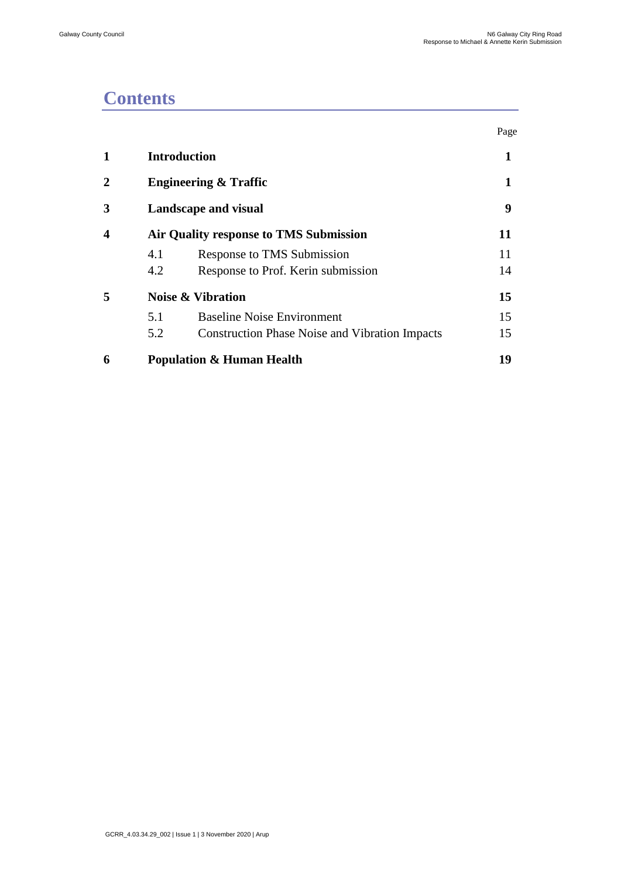## **Contents**

|                  |                                        |                                                       | Page |  |
|------------------|----------------------------------------|-------------------------------------------------------|------|--|
| 1                | <b>Introduction</b>                    |                                                       |      |  |
| 2                | <b>Engineering &amp; Traffic</b>       |                                                       |      |  |
| 3                | <b>Landscape and visual</b>            |                                                       |      |  |
| $\boldsymbol{4}$ | Air Quality response to TMS Submission |                                                       | 11   |  |
|                  | 4.1                                    | Response to TMS Submission                            | 11   |  |
|                  | 4.2                                    | Response to Prof. Kerin submission                    | 14   |  |
| 5                |                                        | <b>Noise &amp; Vibration</b>                          | 15   |  |
|                  | 5.1                                    | <b>Baseline Noise Environment</b>                     | 15   |  |
|                  | 5.2                                    | <b>Construction Phase Noise and Vibration Impacts</b> | 15   |  |
| 6                | <b>Population &amp; Human Health</b>   |                                                       |      |  |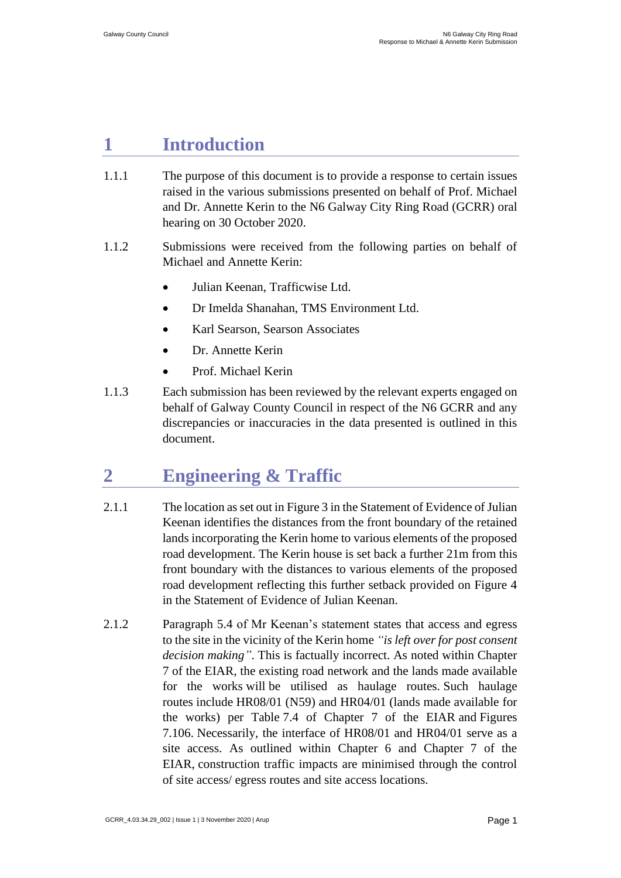### <span id="page-2-0"></span>**1 Introduction**

- 1.1.1 The purpose of this document is to provide a response to certain issues raised in the various submissions presented on behalf of Prof. Michael and Dr. Annette Kerin to the N6 Galway City Ring Road (GCRR) oral hearing on 30 October 2020.
- 1.1.2 Submissions were received from the following parties on behalf of Michael and Annette Kerin:
	- Julian Keenan, Trafficwise Ltd.
	- Dr Imelda Shanahan, TMS Environment Ltd.
	- Karl Searson, Searson Associates
	- Dr. Annette Kerin
	- Prof. Michael Kerin
- 1.1.3 Each submission has been reviewed by the relevant experts engaged on behalf of Galway County Council in respect of the N6 GCRR and any discrepancies or inaccuracies in the data presented is outlined in this document.

## <span id="page-2-1"></span>**2 Engineering & Traffic**

- 2.1.1 The location as set out in Figure 3 in the Statement of Evidence of Julian Keenan identifies the distances from the front boundary of the retained lands incorporating the Kerin home to various elements of the proposed road development. The Kerin house is set back a further 21m from this front boundary with the distances to various elements of the proposed road development reflecting this further setback provided on Figure 4 in the Statement of Evidence of Julian Keenan.
- 2.1.2 Paragraph 5.4 of Mr Keenan's statement states that access and egress to the site in the vicinity of the Kerin home *"is left over for post consent decision making"*. This is factually incorrect. As noted within Chapter 7 of the EIAR, the existing road network and the lands made available for the works will be utilised as haulage routes. Such haulage routes include HR08/01 (N59) and HR04/01 (lands made available for the works) per Table 7.4 of Chapter 7 of the EIAR and Figures 7.106. Necessarily, the interface of HR08/01 and HR04/01 serve as a site access. As outlined within Chapter 6 and Chapter 7 of the EIAR, construction traffic impacts are minimised through the control of site access/ egress routes and site access locations.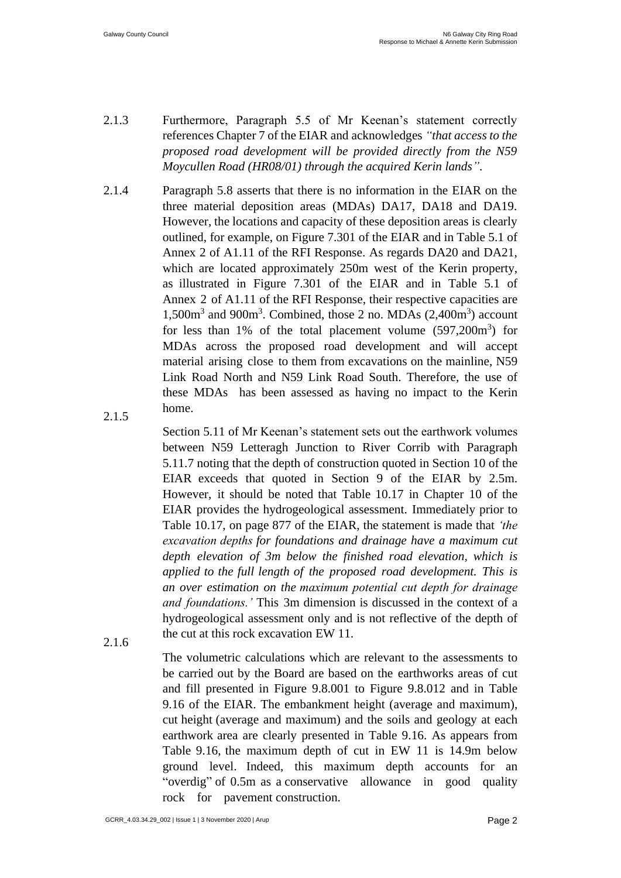- 2.1.3 Furthermore, Paragraph 5.5 of Mr Keenan's statement correctly references Chapter 7 of the EIAR and acknowledges *"that access to the proposed road development will be provided directly from the N59 Moycullen Road (HR08/01) through the acquired Kerin lands"*.
- 2.1.4 2.1.5 Paragraph 5.8 asserts that there is no information in the EIAR on the three material deposition areas (MDAs) DA17, DA18 and DA19. However, the locations and capacity of these deposition areas is clearly outlined, for example, on Figure 7.301 of the EIAR and in Table 5.1 of Annex 2 of A1.11 of the RFI Response. As regards DA20 and DA21, which are located approximately 250m west of the Kerin property, as illustrated in Figure 7.301 of the EIAR and in Table 5.1 of Annex 2 of A1.11 of the RFI Response, their respective capacities are 1,500m<sup>3</sup> and 900m<sup>3</sup>. Combined, those 2 no. MDAs (2,400m<sup>3</sup>) account for less than  $1\%$  of the total placement volume  $(597,200m^3)$  for MDAs across the proposed road development and will accept material arising close to them from excavations on the mainline, N59 Link Road North and N59 Link Road South. Therefore, the use of these MDAs has been assessed as having no impact to the Kerin home.
	- Section 5.11 of Mr Keenan's statement sets out the earthwork volumes between N59 Letteragh Junction to River Corrib with Paragraph 5.11.7 noting that the depth of construction quoted in Section 10 of the EIAR exceeds that quoted in Section 9 of the EIAR by 2.5m. However, it should be noted that Table 10.17 in Chapter 10 of the EIAR provides the hydrogeological assessment. Immediately prior to Table 10.17, on page 877 of the EIAR, the statement is made that *'the excavation depths for foundations and drainage have a maximum cut depth elevation of 3m below the finished road elevation, which is applied to the full length of the proposed road development. This is an over estimation on the maximum potential cut depth for drainage and foundations.'* This 3m dimension is discussed in the context of a hydrogeological assessment only and is not reflective of the depth of the cut at this rock excavation EW 11.
- 2.1.6

The volumetric calculations which are relevant to the assessments to be carried out by the Board are based on the earthworks areas of cut and fill presented in Figure 9.8.001 to Figure 9.8.012 and in Table 9.16 of the EIAR. The embankment height (average and maximum), cut height (average and maximum) and the soils and geology at each earthwork area are clearly presented in Table 9.16. As appears from Table 9.16, the maximum depth of cut in EW 11 is 14.9m below ground level. Indeed, this maximum depth accounts for an "overdig" of 0.5m as a conservative allowance in good quality rock for pavement construction.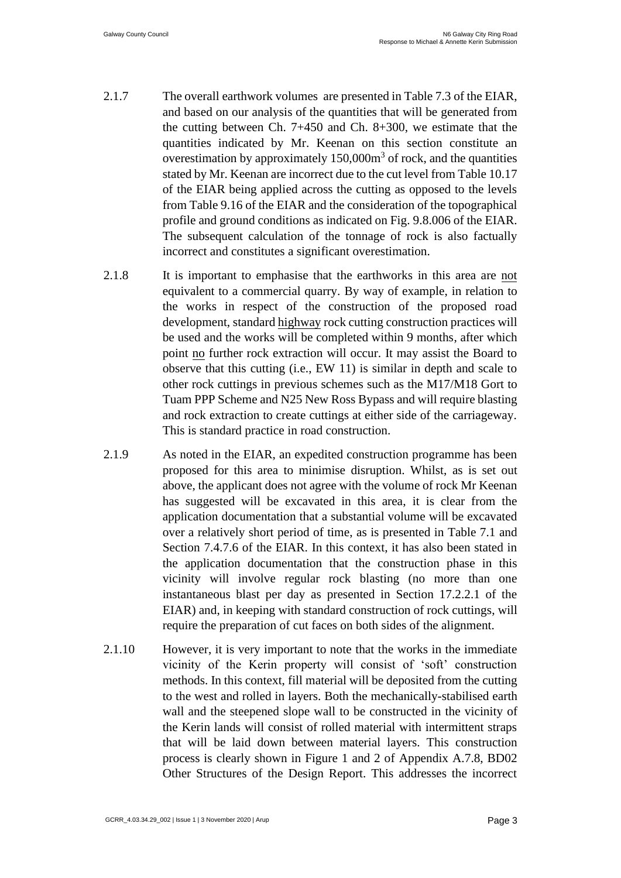- 2.1.7 The overall earthwork volumes are presented in Table 7.3 of the EIAR, and based on our analysis of the quantities that will be generated from the cutting between Ch. 7+450 and Ch. 8+300, we estimate that the quantities indicated by Mr. Keenan on this section constitute an overestimation by approximately  $150,000m^3$  of rock, and the quantities stated by Mr. Keenan are incorrect due to the cut level from Table 10.17 of the EIAR being applied across the cutting as opposed to the levels from Table 9.16 of the EIAR and the consideration of the topographical profile and ground conditions as indicated on Fig. 9.8.006 of the EIAR. The subsequent calculation of the tonnage of rock is also factually incorrect and constitutes a significant overestimation.
- 2.1.8 It is important to emphasise that the earthworks in this area are not equivalent to a commercial quarry. By way of example, in relation to the works in respect of the construction of the proposed road development, standard highway rock cutting construction practices will be used and the works will be completed within 9 months, after which point no further rock extraction will occur. It may assist the Board to observe that this cutting (i.e., EW 11) is similar in depth and scale to other rock cuttings in previous schemes such as the M17/M18 Gort to Tuam PPP Scheme and N25 New Ross Bypass and will require blasting and rock extraction to create cuttings at either side of the carriageway. This is standard practice in road construction.
- 2.1.9 As noted in the EIAR, an expedited construction programme has been proposed for this area to minimise disruption. Whilst, as is set out above, the applicant does not agree with the volume of rock Mr Keenan has suggested will be excavated in this area, it is clear from the application documentation that a substantial volume will be excavated over a relatively short period of time, as is presented in Table 7.1 and Section 7.4.7.6 of the EIAR. In this context, it has also been stated in the application documentation that the construction phase in this vicinity will involve regular rock blasting (no more than one instantaneous blast per day as presented in Section 17.2.2.1 of the EIAR) and, in keeping with standard construction of rock cuttings, will require the preparation of cut faces on both sides of the alignment.
- 2.1.10 However, it is very important to note that the works in the immediate vicinity of the Kerin property will consist of 'soft' construction methods. In this context, fill material will be deposited from the cutting to the west and rolled in layers. Both the mechanically-stabilised earth wall and the steepened slope wall to be constructed in the vicinity of the Kerin lands will consist of rolled material with intermittent straps that will be laid down between material layers. This construction process is clearly shown in Figure 1 and 2 of Appendix A.7.8, BD02 Other Structures of the Design Report. This addresses the incorrect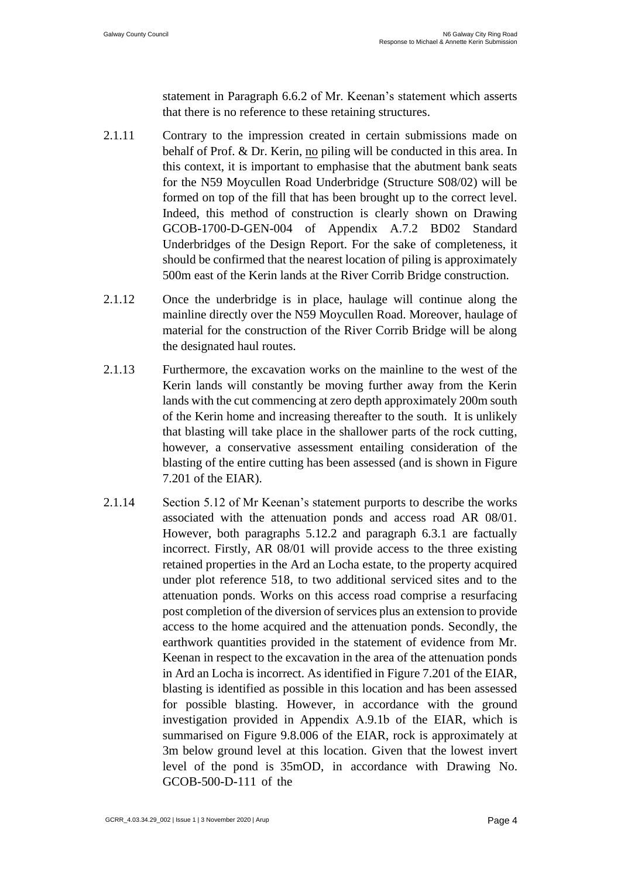statement in Paragraph 6.6.2 of Mr. Keenan's statement which asserts that there is no reference to these retaining structures.

- 2.1.11 Contrary to the impression created in certain submissions made on behalf of Prof. & Dr. Kerin, no piling will be conducted in this area. In this context, it is important to emphasise that the abutment bank seats for the N59 Moycullen Road Underbridge (Structure S08/02) will be formed on top of the fill that has been brought up to the correct level. Indeed, this method of construction is clearly shown on Drawing GCOB-1700-D-GEN-004 of Appendix A.7.2 BD02 Standard Underbridges of the Design Report. For the sake of completeness, it should be confirmed that the nearest location of piling is approximately 500m east of the Kerin lands at the River Corrib Bridge construction.
- 2.1.12 Once the underbridge is in place, haulage will continue along the mainline directly over the N59 Moycullen Road. Moreover, haulage of material for the construction of the River Corrib Bridge will be along the designated haul routes.
- 2.1.13 Furthermore, the excavation works on the mainline to the west of the Kerin lands will constantly be moving further away from the Kerin lands with the cut commencing at zero depth approximately 200m south of the Kerin home and increasing thereafter to the south. It is unlikely that blasting will take place in the shallower parts of the rock cutting, however, a conservative assessment entailing consideration of the blasting of the entire cutting has been assessed (and is shown in Figure 7.201 of the EIAR).
- 2.1.14 Section 5.12 of Mr Keenan's statement purports to describe the works associated with the attenuation ponds and access road AR 08/01. However, both paragraphs 5.12.2 and paragraph 6.3.1 are factually incorrect. Firstly, AR 08/01 will provide access to the three existing retained properties in the Ard an Locha estate, to the property acquired under plot reference 518, to two additional serviced sites and to the attenuation ponds. Works on this access road comprise a resurfacing post completion of the diversion of services plus an extension to provide access to the home acquired and the attenuation ponds. Secondly, the earthwork quantities provided in the statement of evidence from Mr. Keenan in respect to the excavation in the area of the attenuation ponds in Ard an Locha is incorrect. As identified in Figure 7.201 of the EIAR, blasting is identified as possible in this location and has been assessed for possible blasting. However, in accordance with the ground investigation provided in Appendix A.9.1b of the EIAR, which is summarised on Figure 9.8.006 of the EIAR, rock is approximately at 3m below ground level at this location. Given that the lowest invert level of the pond is 35mOD, in accordance with Drawing No. GCOB-500-D-111 of the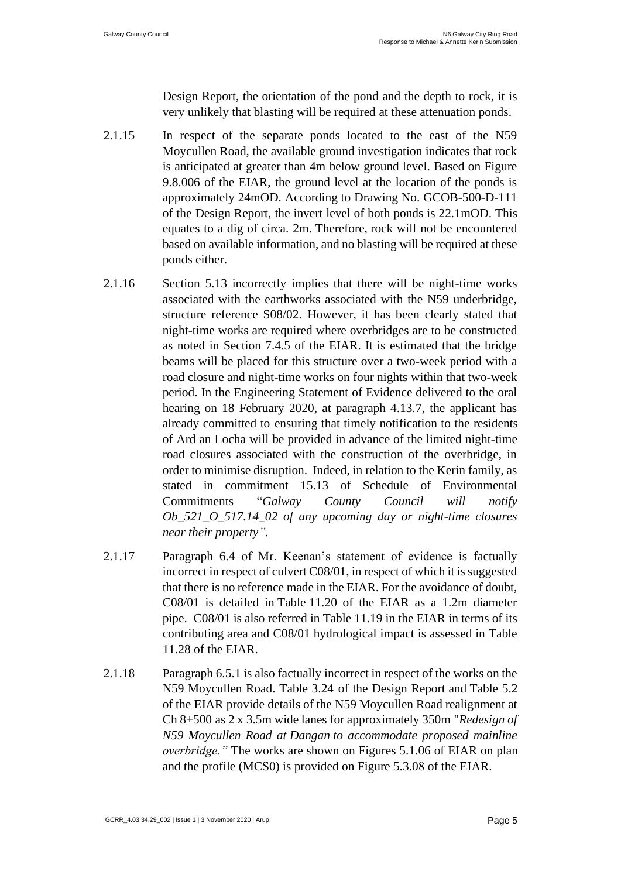Design Report, the orientation of the pond and the depth to rock, it is very unlikely that blasting will be required at these attenuation ponds.

- 2.1.15 In respect of the separate ponds located to the east of the N59 Moycullen Road, the available ground investigation indicates that rock is anticipated at greater than 4m below ground level. Based on Figure 9.8.006 of the EIAR, the ground level at the location of the ponds is approximately 24mOD. According to Drawing No. GCOB-500-D-111 of the Design Report, the invert level of both ponds is 22.1mOD. This equates to a dig of circa. 2m. Therefore, rock will not be encountered based on available information, and no blasting will be required at these ponds either.
- 2.1.16 Section 5.13 incorrectly implies that there will be night-time works associated with the earthworks associated with the N59 underbridge, structure reference S08/02. However, it has been clearly stated that night-time works are required where overbridges are to be constructed as noted in Section 7.4.5 of the EIAR. It is estimated that the bridge beams will be placed for this structure over a two-week period with a road closure and night-time works on four nights within that two-week period. In the Engineering Statement of Evidence delivered to the oral hearing on 18 February 2020, at paragraph 4.13.7, the applicant has already committed to ensuring that timely notification to the residents of Ard an Locha will be provided in advance of the limited night-time road closures associated with the construction of the overbridge, in order to minimise disruption. Indeed, in relation to the Kerin family, as stated in commitment 15.13 of Schedule of Environmental Commitments "*Galway County Council will notify Ob\_521\_O\_517.14\_02 of any upcoming day or night-time closures near their property".*
- 2.1.17 Paragraph 6.4 of Mr. Keenan's statement of evidence is factually incorrect in respect of culvert C08/01, in respect of which it is suggested that there is no reference made in the EIAR. For the avoidance of doubt, C08/01 is detailed in Table 11.20 of the EIAR as a 1.2m diameter pipe. C08/01 is also referred in Table 11.19 in the EIAR in terms of its contributing area and C08/01 hydrological impact is assessed in Table 11.28 of the EIAR.
- 2.1.18 Paragraph 6.5.1 is also factually incorrect in respect of the works on the N59 Moycullen Road. Table 3.24 of the Design Report and Table 5.2 of the EIAR provide details of the N59 Moycullen Road realignment at Ch 8+500 as 2 x 3.5m wide lanes for approximately 350m "*Redesign of N59 Moycullen Road at Dangan to accommodate proposed mainline overbridge."* The works are shown on Figures 5.1.06 of EIAR on plan and the profile (MCS0) is provided on Figure 5.3.08 of the EIAR.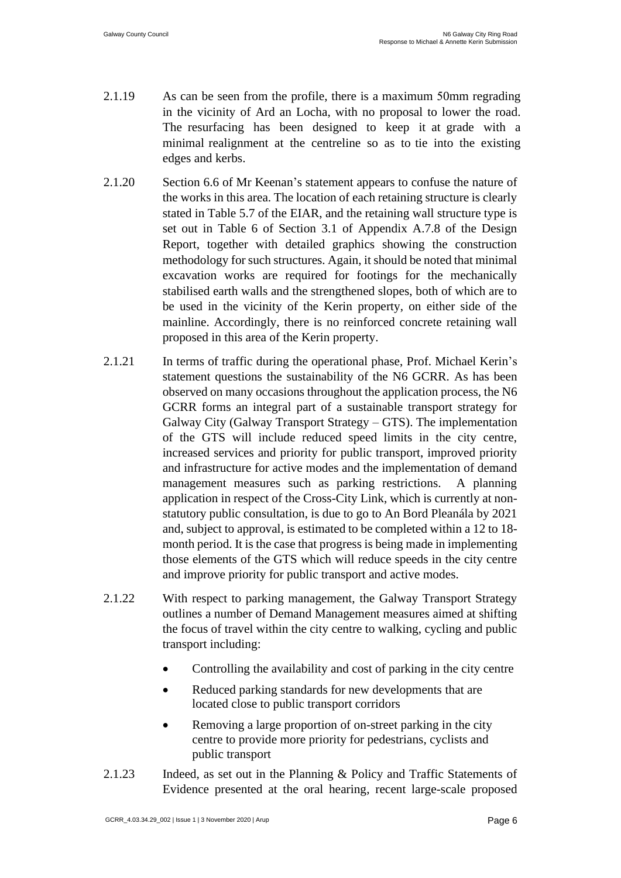- 2.1.19 As can be seen from the profile, there is a maximum 50mm regrading in the vicinity of Ard an Locha, with no proposal to lower the road. The resurfacing has been designed to keep it at grade with a minimal realignment at the centreline so as to tie into the existing edges and kerbs.
- 2.1.20 Section 6.6 of Mr Keenan's statement appears to confuse the nature of the works in this area. The location of each retaining structure is clearly stated in Table 5.7 of the EIAR, and the retaining wall structure type is set out in Table 6 of Section 3.1 of Appendix A.7.8 of the Design Report, together with detailed graphics showing the construction methodology for such structures. Again, it should be noted that minimal excavation works are required for footings for the mechanically stabilised earth walls and the strengthened slopes, both of which are to be used in the vicinity of the Kerin property, on either side of the mainline. Accordingly, there is no reinforced concrete retaining wall proposed in this area of the Kerin property.
- 2.1.21 In terms of traffic during the operational phase, Prof. Michael Kerin's statement questions the sustainability of the N6 GCRR. As has been observed on many occasions throughout the application process, the N6 GCRR forms an integral part of a sustainable transport strategy for Galway City (Galway Transport Strategy – GTS). The implementation of the GTS will include reduced speed limits in the city centre, increased services and priority for public transport, improved priority and infrastructure for active modes and the implementation of demand management measures such as parking restrictions. A planning application in respect of the Cross-City Link, which is currently at nonstatutory public consultation, is due to go to An Bord Pleanála by 2021 and, subject to approval, is estimated to be completed within a 12 to 18 month period. It is the case that progress is being made in implementing those elements of the GTS which will reduce speeds in the city centre and improve priority for public transport and active modes.
- 2.1.22 With respect to parking management, the Galway Transport Strategy outlines a number of Demand Management measures aimed at shifting the focus of travel within the city centre to walking, cycling and public transport including:
	- Controlling the availability and cost of parking in the city centre
	- Reduced parking standards for new developments that are located close to public transport corridors
	- Removing a large proportion of on-street parking in the city centre to provide more priority for pedestrians, cyclists and public transport
- 2.1.23 Indeed, as set out in the Planning & Policy and Traffic Statements of Evidence presented at the oral hearing, recent large-scale proposed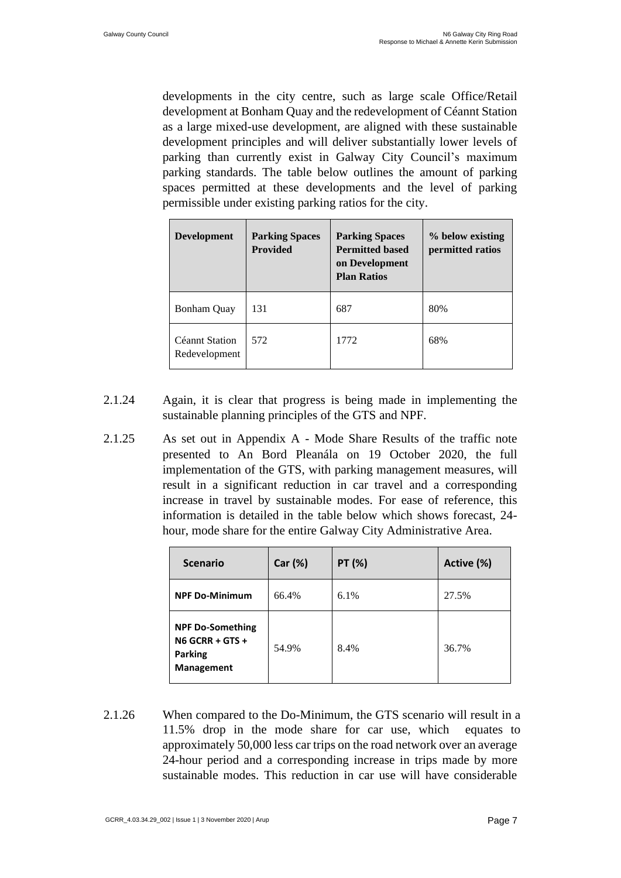developments in the city centre, such as large scale Office/Retail development at Bonham Quay and the redevelopment of Céannt Station as a large mixed-use development, are aligned with these sustainable development principles and will deliver substantially lower levels of parking than currently exist in Galway City Council's maximum parking standards. The table below outlines the amount of parking spaces permitted at these developments and the level of parking permissible under existing parking ratios for the city.

| <b>Development</b>              | <b>Parking Spaces</b><br><b>Provided</b> | <b>Parking Spaces</b><br><b>Permitted based</b><br>on Development<br><b>Plan Ratios</b> | % below existing<br>permitted ratios |
|---------------------------------|------------------------------------------|-----------------------------------------------------------------------------------------|--------------------------------------|
| <b>Bonham Quay</b>              | 131                                      | 687                                                                                     | 80%                                  |
| Céannt Station<br>Redevelopment | 572                                      | 1772                                                                                    | 68%                                  |

- 2.1.24 Again, it is clear that progress is being made in implementing the sustainable planning principles of the GTS and NPF.
- 2.1.25 As set out in Appendix A Mode Share Results of the traffic note presented to An Bord Pleanála on 19 October 2020, the full implementation of the GTS, with parking management measures, will result in a significant reduction in car travel and a corresponding increase in travel by sustainable modes. For ease of reference, this information is detailed in the table below which shows forecast, 24 hour, mode share for the entire Galway City Administrative Area.

| <b>Scenario</b>                                                                     | Car (%) | PT (%) | Active (%) |
|-------------------------------------------------------------------------------------|---------|--------|------------|
| <b>NPF Do-Minimum</b>                                                               | 66.4%   | 6.1%   | 27.5%      |
| <b>NPF Do-Something</b><br>$NG GCRR + GTS +$<br><b>Parking</b><br><b>Management</b> | 54.9%   | 8.4%   | 36.7%      |

2.1.26 When compared to the Do-Minimum, the GTS scenario will result in a 11.5% drop in the mode share for car use, which equates to approximately 50,000 less car trips on the road network over an average 24-hour period and a corresponding increase in trips made by more sustainable modes. This reduction in car use will have considerable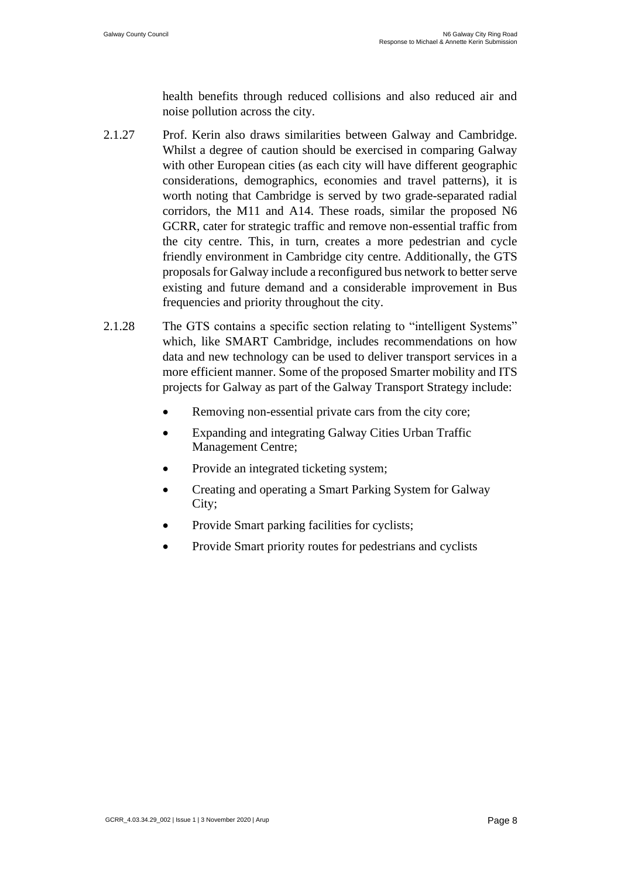health benefits through reduced collisions and also reduced air and noise pollution across the city.

- 2.1.27 Prof. Kerin also draws similarities between Galway and Cambridge. Whilst a degree of caution should be exercised in comparing Galway with other European cities (as each city will have different geographic considerations, demographics, economies and travel patterns), it is worth noting that Cambridge is served by two grade-separated radial corridors, the M11 and A14. These roads, similar the proposed N6 GCRR, cater for strategic traffic and remove non-essential traffic from the city centre. This, in turn, creates a more pedestrian and cycle friendly environment in Cambridge city centre. Additionally, the GTS proposals for Galway include a reconfigured bus network to better serve existing and future demand and a considerable improvement in Bus frequencies and priority throughout the city.
- 2.1.28 The GTS contains a specific section relating to "intelligent Systems" which, like SMART Cambridge, includes recommendations on how data and new technology can be used to deliver transport services in a more efficient manner. Some of the proposed Smarter mobility and ITS projects for Galway as part of the Galway Transport Strategy include:
	- Removing non-essential private cars from the city core;
	- Expanding and integrating Galway Cities Urban Traffic Management Centre;
	- Provide an integrated ticketing system;
	- Creating and operating a Smart Parking System for Galway City;
	- Provide Smart parking facilities for cyclists;
	- Provide Smart priority routes for pedestrians and cyclists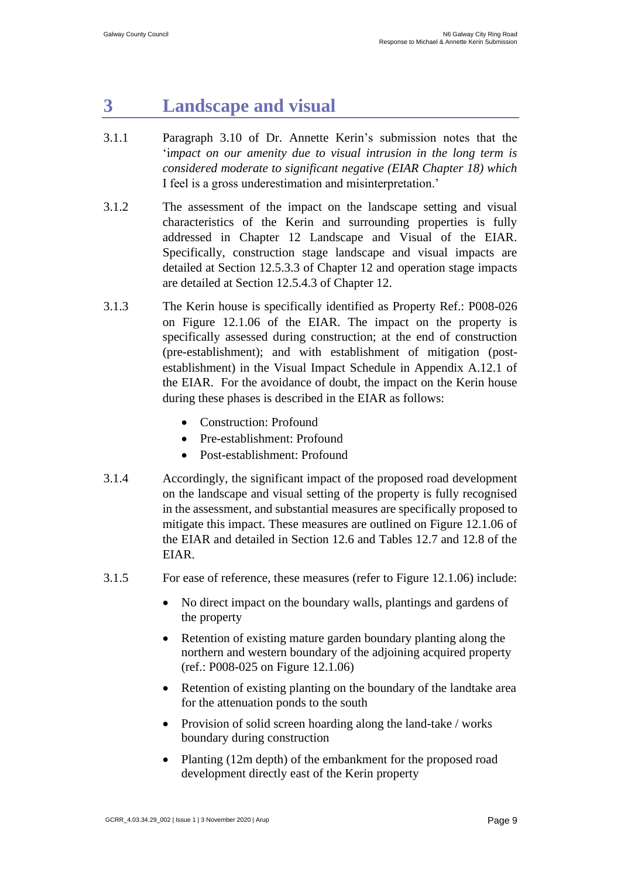## <span id="page-10-0"></span>**3 Landscape and visual**

- 3.1.1 Paragraph 3.10 of Dr. Annette Kerin's submission notes that the 'i*mpact on our amenity due to visual intrusion in the long term is considered moderate to significant negative (EIAR Chapter 18) which*  I feel is a gross underestimation and misinterpretation.'
- 3.1.2 The assessment of the impact on the landscape setting and visual characteristics of the Kerin and surrounding properties is fully addressed in Chapter 12 Landscape and Visual of the EIAR. Specifically, construction stage landscape and visual impacts are detailed at Section 12.5.3.3 of Chapter 12 and operation stage impacts are detailed at Section 12.5.4.3 of Chapter 12.
- 3.1.3 The Kerin house is specifically identified as Property Ref.: P008-026 on Figure 12.1.06 of the EIAR. The impact on the property is specifically assessed during construction; at the end of construction (pre-establishment); and with establishment of mitigation (postestablishment) in the Visual Impact Schedule in Appendix A.12.1 of the EIAR. For the avoidance of doubt, the impact on the Kerin house during these phases is described in the EIAR as follows:
	- Construction: Profound
	- Pre-establishment: Profound
	- Post-establishment: Profound
- 3.1.4 Accordingly, the significant impact of the proposed road development on the landscape and visual setting of the property is fully recognised in the assessment, and substantial measures are specifically proposed to mitigate this impact. These measures are outlined on Figure 12.1.06 of the EIAR and detailed in Section 12.6 and Tables 12.7 and 12.8 of the EIAR.
- 3.1.5 For ease of reference, these measures (refer to Figure 12.1.06) include:
	- No direct impact on the boundary walls, plantings and gardens of the property
	- Retention of existing mature garden boundary planting along the northern and western boundary of the adjoining acquired property (ref.: P008-025 on Figure 12.1.06)
	- Retention of existing planting on the boundary of the landtake area for the attenuation ponds to the south
	- Provision of solid screen hoarding along the land-take / works boundary during construction
	- Planting (12m depth) of the embankment for the proposed road development directly east of the Kerin property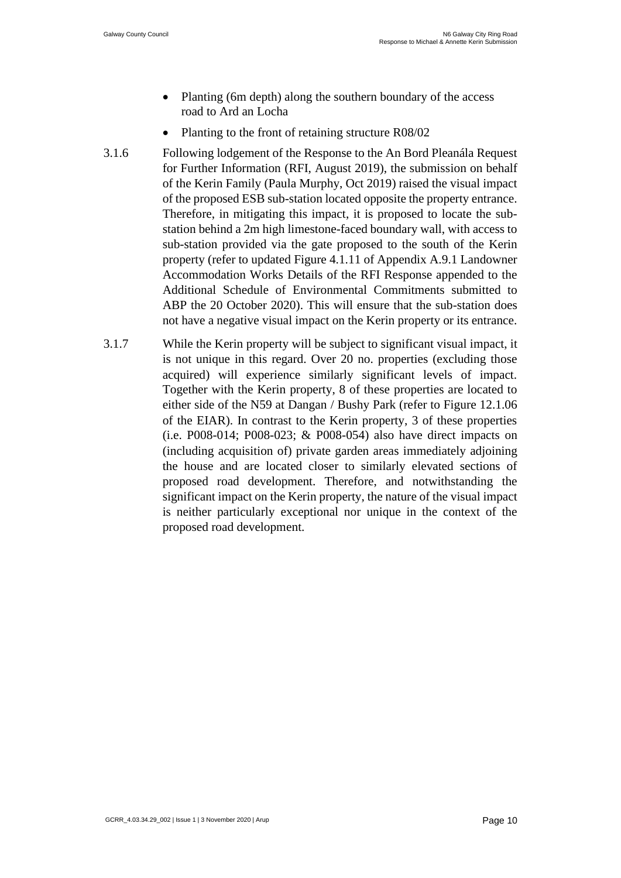- Planting (6m depth) along the southern boundary of the access road to Ard an Locha
- Planting to the front of retaining structure R08/02
- 3.1.6 Following lodgement of the Response to the An Bord Pleanála Request for Further Information (RFI, August 2019), the submission on behalf of the Kerin Family (Paula Murphy, Oct 2019) raised the visual impact of the proposed ESB sub-station located opposite the property entrance. Therefore, in mitigating this impact, it is proposed to locate the substation behind a 2m high limestone-faced boundary wall, with access to sub-station provided via the gate proposed to the south of the Kerin property (refer to updated Figure 4.1.11 of Appendix A.9.1 Landowner Accommodation Works Details of the RFI Response appended to the Additional Schedule of Environmental Commitments submitted to ABP the 20 October 2020). This will ensure that the sub-station does not have a negative visual impact on the Kerin property or its entrance.
- 3.1.7 While the Kerin property will be subject to significant visual impact, it is not unique in this regard. Over 20 no. properties (excluding those acquired) will experience similarly significant levels of impact. Together with the Kerin property, 8 of these properties are located to either side of the N59 at Dangan / Bushy Park (refer to Figure 12.1.06 of the EIAR). In contrast to the Kerin property, 3 of these properties (i.e. P008-014; P008-023; & P008-054) also have direct impacts on (including acquisition of) private garden areas immediately adjoining the house and are located closer to similarly elevated sections of proposed road development. Therefore, and notwithstanding the significant impact on the Kerin property, the nature of the visual impact is neither particularly exceptional nor unique in the context of the proposed road development.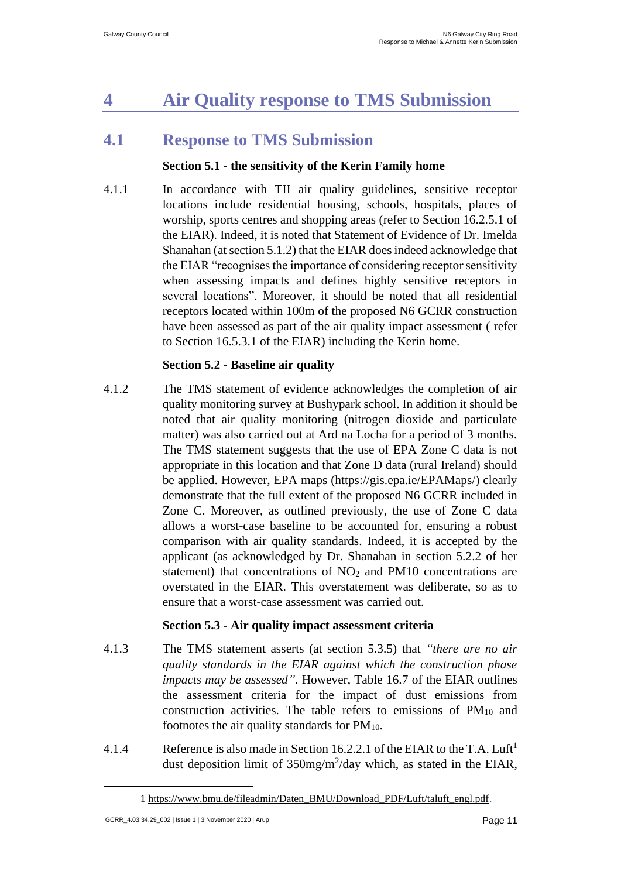# <span id="page-12-0"></span>**4 Air Quality response to TMS Submission**

### <span id="page-12-1"></span>**4.1 Response to TMS Submission**

#### **Section 5.1 - the sensitivity of the Kerin Family home**

4.1.1 In accordance with TII air quality guidelines, sensitive receptor locations include residential housing, schools, hospitals, places of worship, sports centres and shopping areas (refer to Section 16.2.5.1 of the EIAR). Indeed, it is noted that Statement of Evidence of Dr. Imelda Shanahan (at section 5.1.2) that the EIAR does indeed acknowledge that the EIAR "recognises the importance of considering receptor sensitivity when assessing impacts and defines highly sensitive receptors in several locations". Moreover, it should be noted that all residential receptors located within 100m of the proposed N6 GCRR construction have been assessed as part of the air quality impact assessment ( refer to Section 16.5.3.1 of the EIAR) including the Kerin home.

#### **Section 5.2 - Baseline air quality**

4.1.2 The TMS statement of evidence acknowledges the completion of air quality monitoring survey at Bushypark school. In addition it should be noted that air quality monitoring (nitrogen dioxide and particulate matter) was also carried out at Ard na Locha for a period of 3 months. The TMS statement suggests that the use of EPA Zone C data is not appropriate in this location and that Zone D data (rural Ireland) should be applied. However, EPA maps (https://gis.epa.ie/EPAMaps/) clearly demonstrate that the full extent of the proposed N6 GCRR included in Zone C. Moreover, as outlined previously, the use of Zone C data allows a worst-case baseline to be accounted for, ensuring a robust comparison with air quality standards. Indeed, it is accepted by the applicant (as acknowledged by Dr. Shanahan in section 5.2.2 of her statement) that concentrations of  $NO<sub>2</sub>$  and PM10 concentrations are overstated in the EIAR. This overstatement was deliberate, so as to ensure that a worst-case assessment was carried out.

#### **Section 5.3 - Air quality impact assessment criteria**

- 4.1.3 The TMS statement asserts (at section 5.3.5) that *"there are no air quality standards in the EIAR against which the construction phase impacts may be assessed"*. However, Table 16.7 of the EIAR outlines the assessment criteria for the impact of dust emissions from construction activities. The table refers to emissions of  $PM_{10}$  and footnotes the air quality standards for  $PM_{10}$ .
- 4.1.4 Reference is also made in Section 16.2.2.1 of the EIAR to the T.A. Luft<sup>1</sup> dust deposition limit of  $350mg/m^2$ /day which, as stated in the EIAR,

<sup>1</sup> [https://www.bmu.de/fileadmin/Daten\\_BMU/Download\\_PDF/Luft/taluft\\_engl.pdf.](https://www.bmu.de/fileadmin/Daten_BMU/Download_PDF/Luft/taluft_engl.pdf)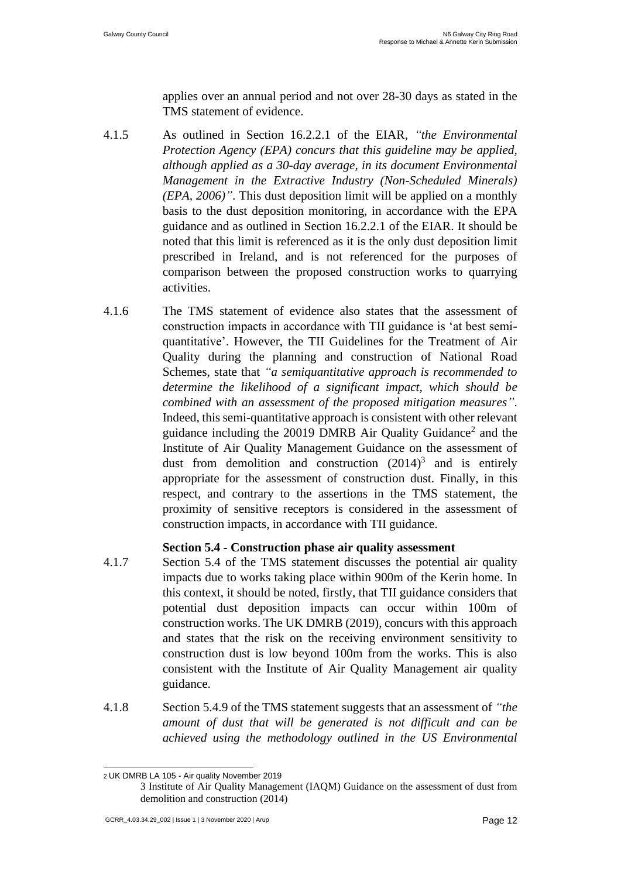applies over an annual period and not over 28-30 days as stated in the TMS statement of evidence.

- 4.1.5 As outlined in Section 16.2.2.1 of the EIAR, *"the Environmental Protection Agency (EPA) concurs that this guideline may be applied, although applied as a 30-day average, in its document Environmental Management in the Extractive Industry (Non-Scheduled Minerals) (EPA, 2006)"*. This dust deposition limit will be applied on a monthly basis to the dust deposition monitoring, in accordance with the EPA guidance and as outlined in Section 16.2.2.1 of the EIAR. It should be noted that this limit is referenced as it is the only dust deposition limit prescribed in Ireland, and is not referenced for the purposes of comparison between the proposed construction works to quarrying activities.
- 4.1.6 The TMS statement of evidence also states that the assessment of construction impacts in accordance with TII guidance is 'at best semiquantitative'. However, the TII Guidelines for the Treatment of Air Quality during the planning and construction of National Road Schemes, state that *"a semiquantitative approach is recommended to determine the likelihood of a significant impact, which should be combined with an assessment of the proposed mitigation measures"*. Indeed, this semi-quantitative approach is consistent with other relevant guidance including the 20019 DMRB Air Quality Guidance<sup>2</sup> and the Institute of Air Quality Management Guidance on the assessment of dust from demolition and construction  $(2014)^3$  and is entirely appropriate for the assessment of construction dust. Finally, in this respect, and contrary to the assertions in the TMS statement, the proximity of sensitive receptors is considered in the assessment of construction impacts, in accordance with TII guidance.

#### **Section 5.4 - Construction phase air quality assessment**

- 4.1.7 Section 5.4 of the TMS statement discusses the potential air quality impacts due to works taking place within 900m of the Kerin home. In this context, it should be noted, firstly, that TII guidance considers that potential dust deposition impacts can occur within 100m of construction works. The UK DMRB (2019), concurs with this approach and states that the risk on the receiving environment sensitivity to construction dust is low beyond 100m from the works. This is also consistent with the Institute of Air Quality Management air quality guidance.
- 4.1.8 Section 5.4.9 of the TMS statement suggests that an assessment of *"the amount of dust that will be generated is not difficult and can be achieved using the methodology outlined in the US Environmental*

<sup>2</sup> UK DMRB LA 105 - Air quality November 2019

<sup>3</sup> Institute of Air Quality Management (IAQM) Guidance on the assessment of dust from demolition and construction (2014)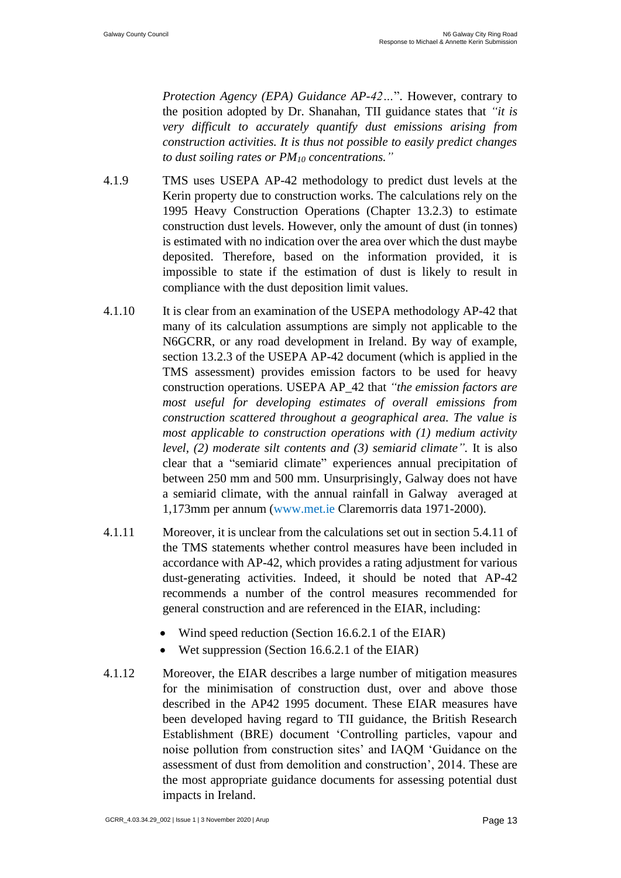*Protection Agency (EPA) Guidance AP-42…*". However, contrary to the position adopted by Dr. Shanahan, TII guidance states that *"it is very difficult to accurately quantify dust emissions arising from construction activities. It is thus not possible to easily predict changes to dust soiling rates or PM<sup>10</sup> concentrations."*

- 4.1.9 TMS uses USEPA AP-42 methodology to predict dust levels at the Kerin property due to construction works. The calculations rely on the 1995 Heavy Construction Operations (Chapter 13.2.3) to estimate construction dust levels. However, only the amount of dust (in tonnes) is estimated with no indication over the area over which the dust maybe deposited. Therefore, based on the information provided, it is impossible to state if the estimation of dust is likely to result in compliance with the dust deposition limit values.
- 4.1.10 It is clear from an examination of the USEPA methodology AP-42 that many of its calculation assumptions are simply not applicable to the N6GCRR, or any road development in Ireland. By way of example, section 13.2.3 of the USEPA AP-42 document (which is applied in the TMS assessment) provides emission factors to be used for heavy construction operations. USEPA AP\_42 that *"the emission factors are most useful for developing estimates of overall emissions from construction scattered throughout a geographical area. The value is most applicable to construction operations with (1) medium activity level, (2) moderate silt contents and (3) semiarid climate".* It is also clear that a "semiarid climate" experiences annual precipitation of between 250 mm and 500 mm. Unsurprisingly, Galway does not have a semiarid climate, with the annual rainfall in Galway averaged at 1,173mm per annum [\(www.met.ie](http://www.met.ie/) Claremorris data 1971-2000).
- 4.1.11 Moreover, it is unclear from the calculations set out in section 5.4.11 of the TMS statements whether control measures have been included in accordance with AP-42, which provides a rating adjustment for various dust-generating activities. Indeed, it should be noted that AP-42 recommends a number of the control measures recommended for general construction and are referenced in the EIAR, including:
	- Wind speed reduction (Section 16.6.2.1 of the EIAR)
	- Wet suppression (Section 16.6.2.1 of the EIAR)
- 4.1.12 Moreover, the EIAR describes a large number of mitigation measures for the minimisation of construction dust, over and above those described in the AP42 1995 document. These EIAR measures have been developed having regard to TII guidance, the British Research Establishment (BRE) document 'Controlling particles, vapour and noise pollution from construction sites' and IAQM 'Guidance on the assessment of dust from demolition and construction', 2014. These are the most appropriate guidance documents for assessing potential dust impacts in Ireland.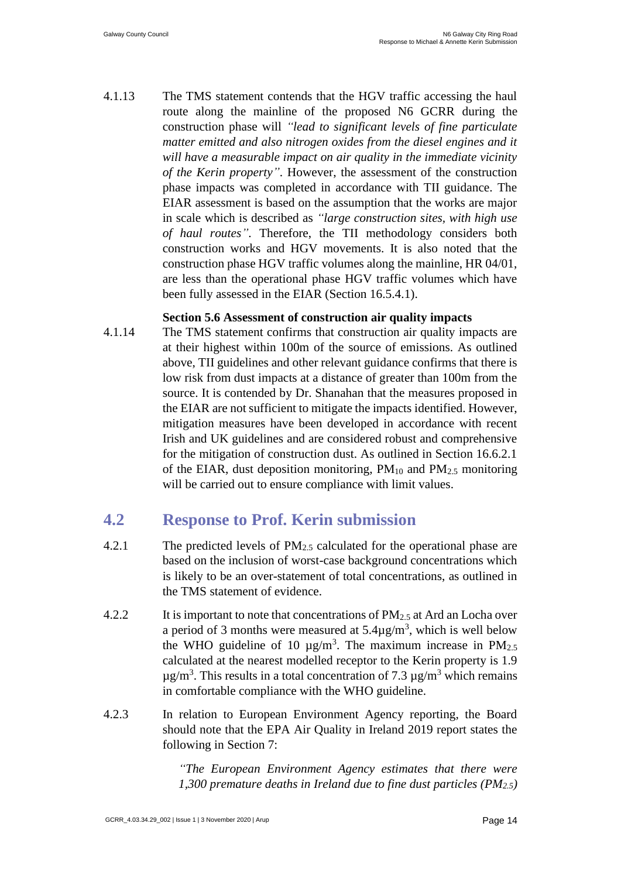4.1.13 The TMS statement contends that the HGV traffic accessing the haul route along the mainline of the proposed N6 GCRR during the construction phase will *"lead to significant levels of fine particulate matter emitted and also nitrogen oxides from the diesel engines and it will have a measurable impact on air quality in the immediate vicinity of the Kerin property"*. However, the assessment of the construction phase impacts was completed in accordance with TII guidance. The EIAR assessment is based on the assumption that the works are major in scale which is described as *"large construction sites, with high use of haul routes"*. Therefore, the TII methodology considers both construction works and HGV movements. It is also noted that the construction phase HGV traffic volumes along the mainline, HR 04/01, are less than the operational phase HGV traffic volumes which have been fully assessed in the EIAR (Section 16.5.4.1).

#### **Section 5.6 Assessment of construction air quality impacts**

4.1.14 The TMS statement confirms that construction air quality impacts are at their highest within 100m of the source of emissions. As outlined above, TII guidelines and other relevant guidance confirms that there is low risk from dust impacts at a distance of greater than 100m from the source. It is contended by Dr. Shanahan that the measures proposed in the EIAR are not sufficient to mitigate the impacts identified. However, mitigation measures have been developed in accordance with recent Irish and UK guidelines and are considered robust and comprehensive for the mitigation of construction dust. As outlined in Section 16.6.2.1 of the EIAR, dust deposition monitoring,  $PM_{10}$  and  $PM_{2.5}$  monitoring will be carried out to ensure compliance with limit values.

### <span id="page-15-0"></span>**4.2 Response to Prof. Kerin submission**

- 4.2.1 The predicted levels of  $PM_{2.5}$  calculated for the operational phase are based on the inclusion of worst-case background concentrations which is likely to be an over-statement of total concentrations, as outlined in the TMS statement of evidence.
- 4.2.2 It is important to note that concentrations of  $PM_{2.5}$  at Ard an Locha over a period of 3 months were measured at  $5.4\mu\text{g/m}^3$ , which is well below the WHO guideline of 10  $\mu$ g/m<sup>3</sup>. The maximum increase in PM<sub>2.5</sub> calculated at the nearest modelled receptor to the Kerin property is 1.9  $\mu$ g/m<sup>3</sup>. This results in a total concentration of 7.3  $\mu$ g/m<sup>3</sup> which remains in comfortable compliance with the WHO guideline.
- 4.2.3 In relation to European Environment Agency reporting, the Board should note that the EPA Air Quality in Ireland 2019 report states the following in Section 7:

*"The European Environment Agency estimates that there were 1,300 premature deaths in Ireland due to fine dust particles (PM2.5)*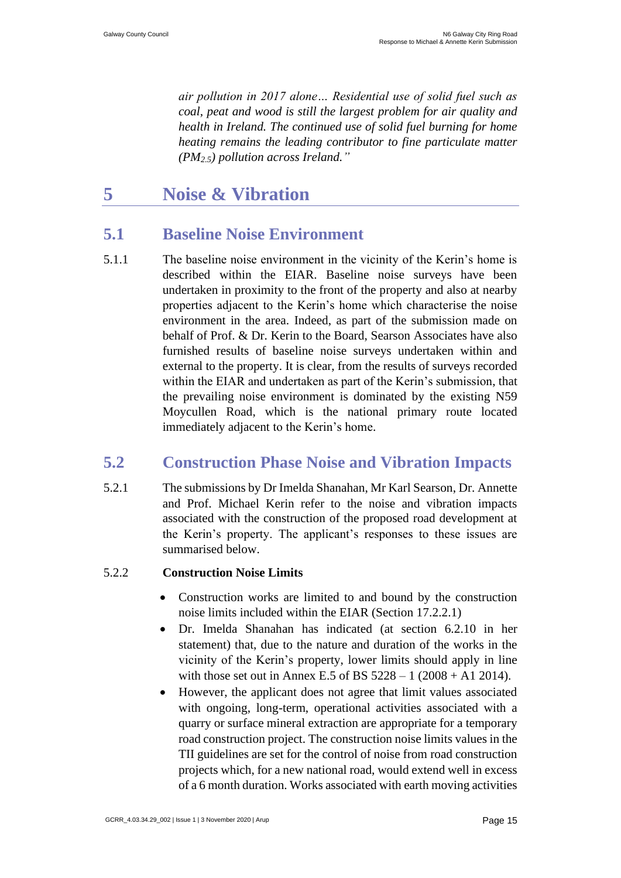*air pollution in 2017 alone… Residential use of solid fuel such as coal, peat and wood is still the largest problem for air quality and health in Ireland. The continued use of solid fuel burning for home heating remains the leading contributor to fine particulate matter (PM2.5) pollution across Ireland."*

## <span id="page-16-0"></span>**5 Noise & Vibration**

### <span id="page-16-1"></span>**5.1 Baseline Noise Environment**

5.1.1 The baseline noise environment in the vicinity of the Kerin's home is described within the EIAR. Baseline noise surveys have been undertaken in proximity to the front of the property and also at nearby properties adjacent to the Kerin's home which characterise the noise environment in the area. Indeed, as part of the submission made on behalf of Prof. & Dr. Kerin to the Board, Searson Associates have also furnished results of baseline noise surveys undertaken within and external to the property. It is clear, from the results of surveys recorded within the EIAR and undertaken as part of the Kerin's submission, that the prevailing noise environment is dominated by the existing N59 Moycullen Road, which is the national primary route located immediately adjacent to the Kerin's home.

### <span id="page-16-2"></span>**5.2 Construction Phase Noise and Vibration Impacts**

5.2.1 The submissions by Dr Imelda Shanahan, Mr Karl Searson, Dr. Annette and Prof. Michael Kerin refer to the noise and vibration impacts associated with the construction of the proposed road development at the Kerin's property. The applicant's responses to these issues are summarised below.

#### 5.2.2 **Construction Noise Limits**

- Construction works are limited to and bound by the construction noise limits included within the EIAR (Section 17.2.2.1)
- Dr. Imelda Shanahan has indicated (at section 6.2.10 in her statement) that, due to the nature and duration of the works in the vicinity of the Kerin's property, lower limits should apply in line with those set out in Annex E.5 of BS  $5228 - 1$  (2008 + A1 2014).
- However, the applicant does not agree that limit values associated with ongoing, long-term, operational activities associated with a quarry or surface mineral extraction are appropriate for a temporary road construction project. The construction noise limits values in the TII guidelines are set for the control of noise from road construction projects which, for a new national road, would extend well in excess of a 6 month duration. Works associated with earth moving activities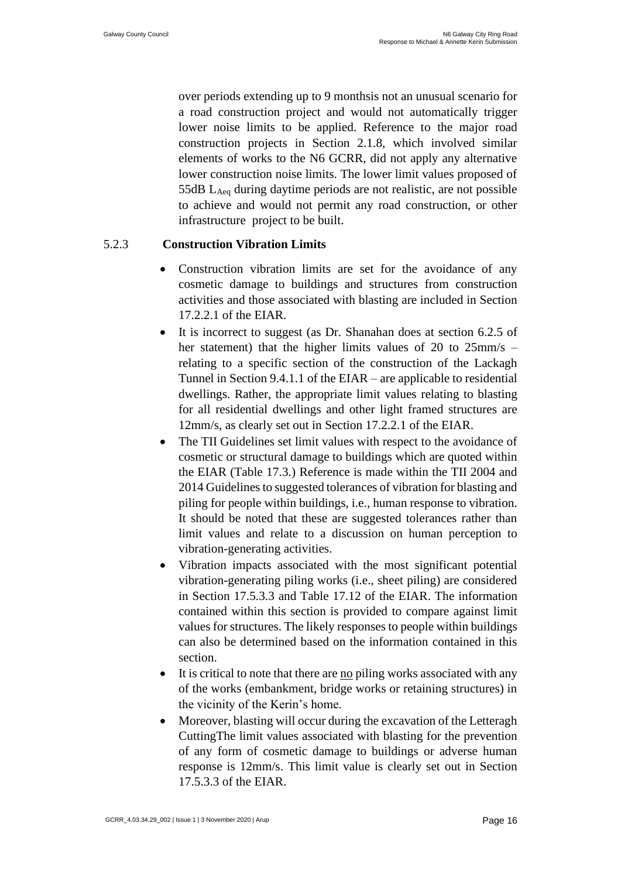over periods extending up to 9 monthsis not an unusual scenario for a road construction project and would not automatically trigger lower noise limits to be applied. Reference to the major road construction projects in Section 2.1.8, which involved similar elements of works to the N6 GCRR, did not apply any alternative lower construction noise limits. The lower limit values proposed of 55dB LAeq during daytime periods are not realistic, are not possible to achieve and would not permit any road construction, or other infrastructure project to be built.

#### 5.2.3 **Construction Vibration Limits**

- Construction vibration limits are set for the avoidance of any cosmetic damage to buildings and structures from construction activities and those associated with blasting are included in Section 17.2.2.1 of the EIAR.
- It is incorrect to suggest (as Dr. Shanahan does at section 6.2.5 of her statement) that the higher limits values of 20 to 25mm/s – relating to a specific section of the construction of the Lackagh Tunnel in Section 9.4.1.1 of the EIAR – are applicable to residential dwellings. Rather, the appropriate limit values relating to blasting for all residential dwellings and other light framed structures are 12mm/s, as clearly set out in Section 17.2.2.1 of the EIAR.
- The TII Guidelines set limit values with respect to the avoidance of cosmetic or structural damage to buildings which are quoted within the EIAR (Table 17.3.) Reference is made within the TII 2004 and 2014 Guidelines to suggested tolerances of vibration for blasting and piling for people within buildings, i.e., human response to vibration. It should be noted that these are suggested tolerances rather than limit values and relate to a discussion on human perception to vibration-generating activities.
- Vibration impacts associated with the most significant potential vibration-generating piling works (i.e., sheet piling) are considered in Section 17.5.3.3 and Table 17.12 of the EIAR. The information contained within this section is provided to compare against limit values for structures. The likely responses to people within buildings can also be determined based on the information contained in this section.
- It is critical to note that there are no piling works associated with any of the works (embankment, bridge works or retaining structures) in the vicinity of the Kerin's home.
- Moreover, blasting will occur during the excavation of the Letteragh CuttingThe limit values associated with blasting for the prevention of any form of cosmetic damage to buildings or adverse human response is 12mm/s. This limit value is clearly set out in Section 17.5.3.3 of the EIAR.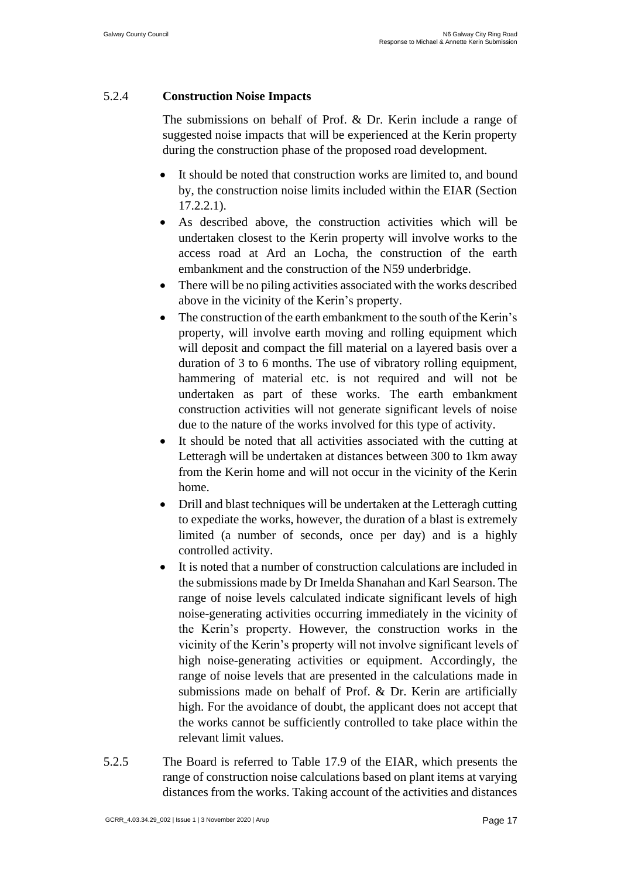#### 5.2.4 **Construction Noise Impacts**

The submissions on behalf of Prof. & Dr. Kerin include a range of suggested noise impacts that will be experienced at the Kerin property during the construction phase of the proposed road development.

- It should be noted that construction works are limited to, and bound by, the construction noise limits included within the EIAR (Section 17.2.2.1).
- As described above, the construction activities which will be undertaken closest to the Kerin property will involve works to the access road at Ard an Locha, the construction of the earth embankment and the construction of the N59 underbridge.
- There will be no piling activities associated with the works described above in the vicinity of the Kerin's property.
- The construction of the earth embankment to the south of the Kerin's property, will involve earth moving and rolling equipment which will deposit and compact the fill material on a layered basis over a duration of 3 to 6 months. The use of vibratory rolling equipment, hammering of material etc. is not required and will not be undertaken as part of these works. The earth embankment construction activities will not generate significant levels of noise due to the nature of the works involved for this type of activity.
- It should be noted that all activities associated with the cutting at Letteragh will be undertaken at distances between 300 to 1km away from the Kerin home and will not occur in the vicinity of the Kerin home.
- Drill and blast techniques will be undertaken at the Letteragh cutting to expediate the works, however, the duration of a blast is extremely limited (a number of seconds, once per day) and is a highly controlled activity.
- It is noted that a number of construction calculations are included in the submissions made by Dr Imelda Shanahan and Karl Searson. The range of noise levels calculated indicate significant levels of high noise-generating activities occurring immediately in the vicinity of the Kerin's property. However, the construction works in the vicinity of the Kerin's property will not involve significant levels of high noise-generating activities or equipment. Accordingly, the range of noise levels that are presented in the calculations made in submissions made on behalf of Prof. & Dr. Kerin are artificially high. For the avoidance of doubt, the applicant does not accept that the works cannot be sufficiently controlled to take place within the relevant limit values.
- 5.2.5 The Board is referred to Table 17.9 of the EIAR, which presents the range of construction noise calculations based on plant items at varying distances from the works. Taking account of the activities and distances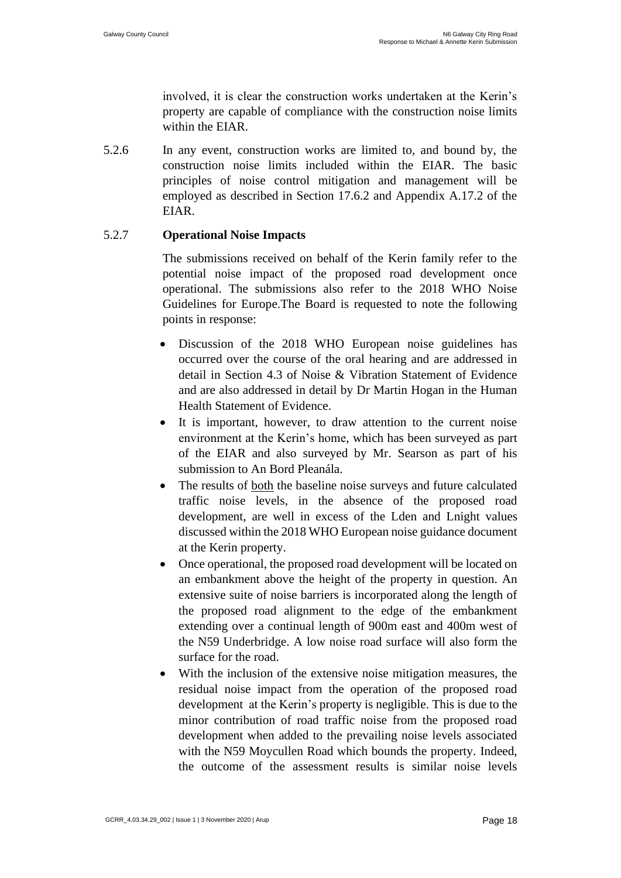involved, it is clear the construction works undertaken at the Kerin's property are capable of compliance with the construction noise limits within the EIAR.

5.2.6 In any event, construction works are limited to, and bound by, the construction noise limits included within the EIAR. The basic principles of noise control mitigation and management will be employed as described in Section 17.6.2 and Appendix A.17.2 of the EIAR.

#### 5.2.7 **Operational Noise Impacts**

The submissions received on behalf of the Kerin family refer to the potential noise impact of the proposed road development once operational. The submissions also refer to the 2018 WHO Noise Guidelines for Europe.The Board is requested to note the following points in response:

- Discussion of the 2018 WHO European noise guidelines has occurred over the course of the oral hearing and are addressed in detail in Section 4.3 of Noise & Vibration Statement of Evidence and are also addressed in detail by Dr Martin Hogan in the Human Health Statement of Evidence.
- It is important, however, to draw attention to the current noise environment at the Kerin's home, which has been surveyed as part of the EIAR and also surveyed by Mr. Searson as part of his submission to An Bord Pleanála.
- The results of both the baseline noise surveys and future calculated traffic noise levels, in the absence of the proposed road development, are well in excess of the Lden and Lnight values discussed within the 2018 WHO European noise guidance document at the Kerin property.
- Once operational, the proposed road development will be located on an embankment above the height of the property in question. An extensive suite of noise barriers is incorporated along the length of the proposed road alignment to the edge of the embankment extending over a continual length of 900m east and 400m west of the N59 Underbridge. A low noise road surface will also form the surface for the road.
- With the inclusion of the extensive noise mitigation measures, the residual noise impact from the operation of the proposed road development at the Kerin's property is negligible. This is due to the minor contribution of road traffic noise from the proposed road development when added to the prevailing noise levels associated with the N59 Moycullen Road which bounds the property. Indeed, the outcome of the assessment results is similar noise levels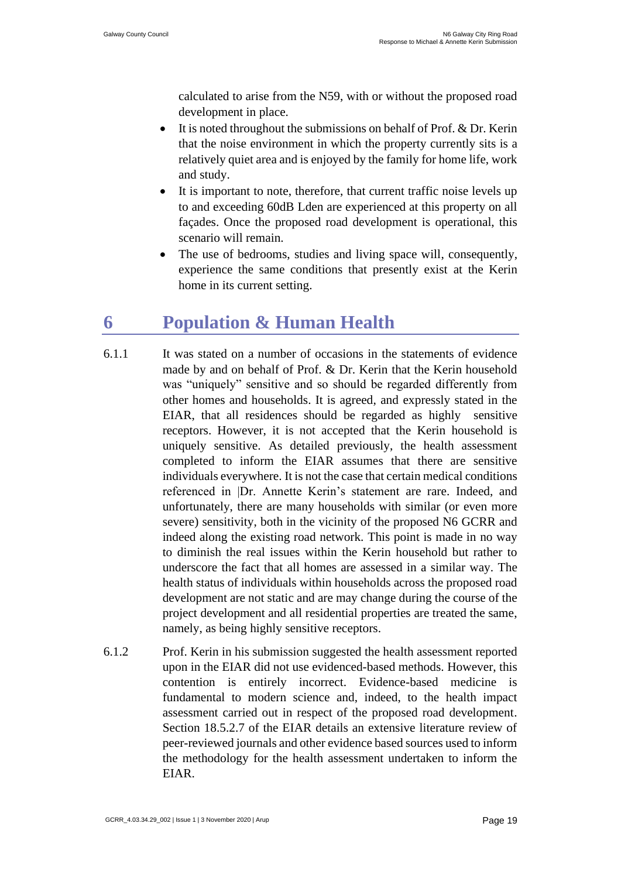calculated to arise from the N59, with or without the proposed road development in place.

- It is noted throughout the submissions on behalf of Prof. & Dr. Kerin that the noise environment in which the property currently sits is a relatively quiet area and is enjoyed by the family for home life, work and study.
- It is important to note, therefore, that current traffic noise levels up to and exceeding 60dB Lden are experienced at this property on all façades. Once the proposed road development is operational, this scenario will remain.
- The use of bedrooms, studies and living space will, consequently, experience the same conditions that presently exist at the Kerin home in its current setting.

# <span id="page-20-0"></span>**6 Population & Human Health**

- 6.1.1 It was stated on a number of occasions in the statements of evidence made by and on behalf of Prof. & Dr. Kerin that the Kerin household was "uniquely" sensitive and so should be regarded differently from other homes and households. It is agreed, and expressly stated in the EIAR, that all residences should be regarded as highly sensitive receptors. However, it is not accepted that the Kerin household is uniquely sensitive. As detailed previously, the health assessment completed to inform the EIAR assumes that there are sensitive individuals everywhere. It is not the case that certain medical conditions referenced in |Dr. Annette Kerin's statement are rare. Indeed, and unfortunately, there are many households with similar (or even more severe) sensitivity, both in the vicinity of the proposed N6 GCRR and indeed along the existing road network. This point is made in no way to diminish the real issues within the Kerin household but rather to underscore the fact that all homes are assessed in a similar way. The health status of individuals within households across the proposed road development are not static and are may change during the course of the project development and all residential properties are treated the same, namely, as being highly sensitive receptors.
- 6.1.2 Prof. Kerin in his submission suggested the health assessment reported upon in the EIAR did not use evidenced-based methods. However, this contention is entirely incorrect. Evidence-based medicine is fundamental to modern science and, indeed, to the health impact assessment carried out in respect of the proposed road development. Section 18.5.2.7 of the EIAR details an extensive literature review of peer-reviewed journals and other evidence based sources used to inform the methodology for the health assessment undertaken to inform the EIAR.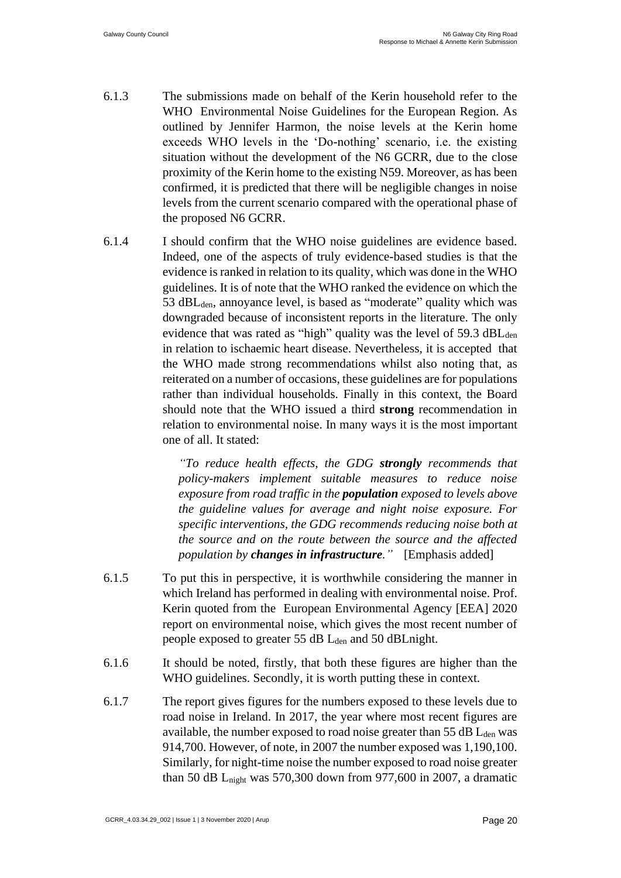- 6.1.3 The submissions made on behalf of the Kerin household refer to the WHO Environmental Noise Guidelines for the European Region. As outlined by Jennifer Harmon, the noise levels at the Kerin home exceeds WHO levels in the 'Do-nothing' scenario, i.e. the existing situation without the development of the N6 GCRR, due to the close proximity of the Kerin home to the existing N59. Moreover, as has been confirmed, it is predicted that there will be negligible changes in noise levels from the current scenario compared with the operational phase of the proposed N6 GCRR.
- 6.1.4 I should confirm that the WHO noise guidelines are evidence based. Indeed, one of the aspects of truly evidence-based studies is that the evidence is ranked in relation to its quality, which was done in the WHO guidelines. It is of note that the WHO ranked the evidence on which the 53 dBL<sub>den</sub>, annoyance level, is based as "moderate" quality which was downgraded because of inconsistent reports in the literature. The only evidence that was rated as "high" quality was the level of  $59.3 \text{ dBL}_{den}$ in relation to ischaemic heart disease. Nevertheless, it is accepted that the WHO made strong recommendations whilst also noting that, as reiterated on a number of occasions, these guidelines are for populations rather than individual households. Finally in this context, the Board should note that the WHO issued a third **strong** recommendation in relation to environmental noise. In many ways it is the most important one of all. It stated:

*"To reduce health effects, the GDG strongly recommends that policy-makers implement suitable measures to reduce noise exposure from road traffic in the population exposed to levels above the guideline values for average and night noise exposure. For specific interventions, the GDG recommends reducing noise both at the source and on the route between the source and the affected population by changes in infrastructure."* [Emphasis added]

- 6.1.5 To put this in perspective, it is worthwhile considering the manner in which Ireland has performed in dealing with environmental noise. Prof. Kerin quoted from the European Environmental Agency [EEA] 2020 report on environmental noise, which gives the most recent number of people exposed to greater 55 dB L<sub>den</sub> and 50 dBLnight.
- 6.1.6 It should be noted, firstly, that both these figures are higher than the WHO guidelines. Secondly, it is worth putting these in context.
- 6.1.7 The report gives figures for the numbers exposed to these levels due to road noise in Ireland. In 2017, the year where most recent figures are available, the number exposed to road noise greater than  $55$  dB  $L<sub>den</sub>$  was 914,700. However, of note, in 2007 the number exposed was 1,190,100. Similarly, for night-time noise the number exposed to road noise greater than 50 dB Lnight was 570,300 down from 977,600 in 2007, a dramatic